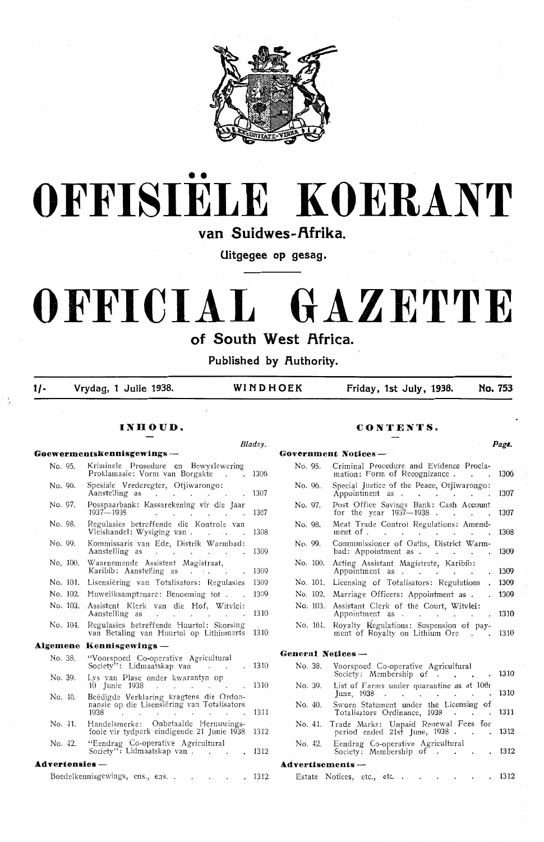



van Suidwes-Afrika

**Uitgegee op gesag.** 

# **OFFICIAL GAZETTE**

**of South West Africa.** 

Published by Authority.

**1/- Vrydag, 1 Julie 1938. WINDHOEK Friday, 1st July, 1938, No. 753** 

#### **Goewermentskennisgewiogs** - **Government Notices** - No. 95. Kriminele Prosedure en Bewyslewering Proklamasie: Vorm van Borgakte . . . 1306 Spesiale Vrederegter, Otjiwarongo: No. 96. Aanstelling as 1307 No. 97. Posspaarbank: Kassarekening vir die Jaar<br>1937—1938<br>Regulasies betreffende die Kontrole van 1307 No. 98. Regulasies betterfende die Kontrole van ... 1308 Kommissaris van Ede, Distrik Warmbad: No. 99. Aanstelling as 1300 Waarnemende Assistent Magistraat, No. 100. Karibib: Aanstelling as . . . 1309 1309 No. 101. Lisensiering van Totalisators: Regulasies 1300 No. 102. Huweliksamptenare: Benoeming tot . No. 103. Assistent Klerk van die Hof, Witvlei: 1310 Aanstelling as **Contract** Regulasies betreffende Huurtol: Skorsing<br>van Betaling van Huurtol op Lithiumerts No. 104. 1310 **Algemene Kennisgewings** - No. 38. "Voorspoed Co-operative Agricultural Society": Lidmaatskap van 1310 No. 39. Lys van Plase onder kwarantyn op 10 Junie 1938 . . . . . . . . . . 1310 No. 40. Beëdigde Verklaring kragtens die Ordonnansie op die Lisensiering van Totalisators 1938 . . . . . . . . 1311 No. 41. Handelsmerke: Onbetaalde Hernuwings-<br>fooie vir tydperk eindigende 21 Junie 1938 1312 No. 42. "Eendrag Co-operative Agricultural No. 42. Eendrag Co-operative Agricultural **A.dvertensies** - **Asd.vertisements** - Boedelkennisgewings, ens., ens. . . . . . . 1312

#### **INHOUD. CONTENTS.**

*Bladsy. Page.* No. 95. Criminal Procedure and Evidenoe Proclamation: Form of Recognizance . . . . 1306 No. 96. Special Justice of the Peace, Otiiwarongo: 1307 Appointment as No. 97. Post Office Savings Bank: Cash Account<br>for the year 1937–1938 for the year 1937—1938. 1307 No. 98. Meat Trade Control Regulations: Amend-1308 ment of .  $\sim$ a sa B the company of the company No. 99. Commmissioner of Oaths, District Warmbad: Appointment as . . . . . 1300 No. 100. Acting Assistant Magistrate, Karibib: Appointment as . 1309 No. 101. Licensing of Totalisators: Regulations 1309 No. 102. Marriage Officers: Appointment as . 1309 No. 103. Assistant Clerk of the Court, Witvlei: 1310 Appointment as . . . . . No. 104. Royalty Regulations: Suspension of pay-1310 ment of Royalty on Lithium Ore **General Notices** - No. 38. Voorspoed Co-operative Agricultural Society: Membership of . . . 1310 No. 39. List of Farms under quarantine as at 10th  $\frac{21}{31}$  June, 1938.

No. 40. Sworn Statement under the Licensing of Totalisators Ordinance, 1938 . . . . 131 No. 41. Trade Marks: Unpaid Renewal Fees for period ended  $21st$  June,  $1938$  . . . 1312 Society": Lidmaatskap van 1312 Society: Membership of 1312

| Estate Notices, etc., etc. . |  |  |  |  | . 1312 |
|------------------------------|--|--|--|--|--------|
|                              |  |  |  |  |        |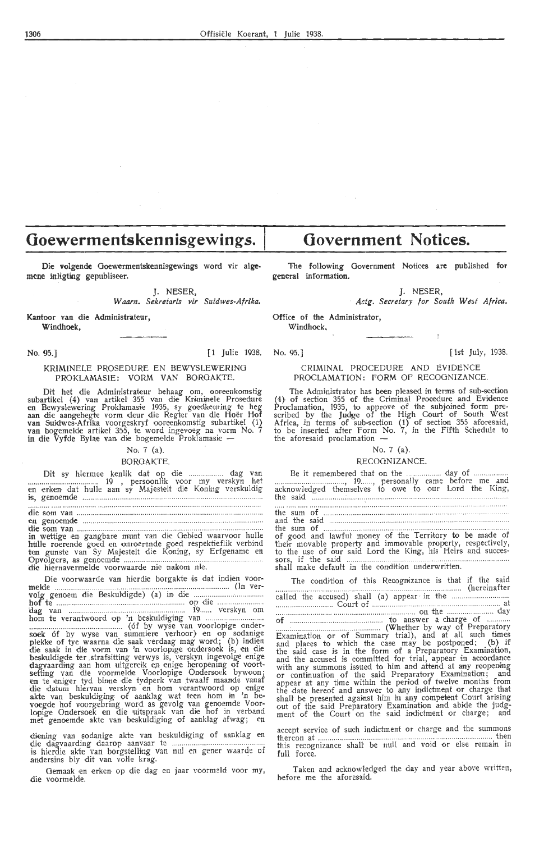# **Ooewermentskennisgewings.** I

Die volgende Goewermentskennisgewings word vir algemene inligting gepubliseer.

J. NESER,

*W aam. Sekretaris vir Suidwes-Afrika,* 

Kantoor van die Administrateur, Windhoek,

#### No. 95.] [1st July, 1938. [1st July, 1938. [1st July, 1938.]

#### KRIMINELE PROSEDURE EN BEWYSLEWERING PROKLAMASIE: VORM VAN BORGAKTE.

Dit het die Administrateur behaag om, ooreenkomstig subartikel (4) van artikel 355 van die Kriminele Prosedure<br>en Bewyslewering Proklamasie 1935, sy goedkeuring te heg<br>aan die aangehegte vorm deur die Regter van die Hoër Hof<br>van Suidwes-Afrika voorgeskryf ooreenkomstig suba in die Vyfde Bylae van, die bogemelde Proklamasie -

#### No. 7 (a).

#### BORGAKTE.

Dit sy hiermee k;enlik <lat op di,e .............. ... dag van .................................... 19 , persoonlik voor my verskyn het en erken dat hulle aan sy Maj,esteit die Kontng verskuldig is, genoemde ............... .... .............. .. .. . . ...... .. ........ .

die som van ..... : ............................. .... ..... ............ .............. . ~fe ~:io~~ie ... :::::::::::::::::::::::::::::::::::::::::::·:::::::::::::::::::::::: ::::::::::::::::::::: :.

in wettige en gangbare munt van die Gebied waarvoor hulle hulle roerende goed en onnoerende goed respektieflik verbind<br>ten gunste van Sy Majesteit die Koning, sy Erfgename en ten gunste va:n Sy Maj,esteit di·e Koning, sy Erfgename en Opvolgers, as genoemde ......... ....................................................... .. .. .. . die hiernaverme1de voorwaarde nie nakom ni,e.

Di•e voorwaarde van hi•erdie borgakte ti,s dat indiien voor- melde .................... .. .... ........... .. .. .. .. ................ .. ..... .. ............... ..... (In ver- ~~1 tt~~·e·~···~i:~ ... 8.e~~~.l:~i~~·~>. ... <.a\_) .. i~• ... ~e op .. di~ .. :::::::::::::::::::::::: \:lag van ................. ... ................. .............. 19...... verskyn om horn te verantwoord op 'n beskuldi•grng van ............................ .. ................................................ (6f by wyse van voorJopige onder- soek 6f by wyse van summi•ere verhoor)· en op sodanige plekke of tye waarna die saak verdaag mag word; (b) indien die saak in die vorm van 'n voorlopige ondersoek is, en die beskuldigde ter strafsitting verwys is, verskyn ingevolge enige dagvaarding aan hom uitgereik en enige heropening of voortsetting van die voormelde Voorlopige Ondersoek bywoon;<br>**en** te eniger tyd binne die tydperk van twaalf maande vanaf die datum hiervan verskyn en hom verantwoord op enige akte van beskuldiging of aanklag wat teen hom in 'n bevoegde hof voorgebring word as gevolg van genoemde Voor-<br>lopige Ondersoek en die uitspraak van die hof in verband met genoemde akte van beskuldiging of aanklag afwag; en

diening vain sodanige akte van beskuldi,ging of aanklag en . die dagvaarding daarop aanvaar te .... ........ ............ .. ...... .. is hi,erdie akte van borgst,elhng van nul en gener waarde of andersins bly dit van volle krag.

Gemaak en erken op die dag en jaar voormeld voor my, die voorme1de.

**Government Notices.** 

The following Government Notices **are** published for general information.

J. NESER,

*Actg. Secretary for South West Africa.* 

Office of the Administrator,

Windhoek.

#### CRIMINAL PROCEDURE AND EVIDENCE PROCLAMATION: FORM OF RECOGNIZANCE.

The Administrator has been pleased in terms of sub-section (4) of section 355 of the Criminal Procedure and Evidence Proclamation, 1935, to approve of the subjoined form prescribed by the Judge of the High Court of South West Africa, in terms of sub-section  $(1)$  of section 355 aforesaid, to be inserted after Form No. 7, in the Fifth Schedule to the aforesaid proclamation  $-$ 

#### No. 7 (a).

#### RECOGNIZANCE.

Be it remember•ed that on the ...... .. ....... day of ............... .. .... .. ............. . , 19 ..... , personally came before me and acknowledged themselves to owe to our Lord the King, the said ..... .... ... .. .. ..

| the sum of $\ldots$ $\ldots$ $\ldots$ $\ldots$ $\ldots$ $\ldots$ $\ldots$ $\ldots$ $\ldots$ $\ldots$ $\ldots$ $\ldots$ $\ldots$ $\ldots$ |  |
|------------------------------------------------------------------------------------------------------------------------------------------|--|
|                                                                                                                                          |  |
| of good and lawful money of the Territory to be made of                                                                                  |  |
| their movable property and immovable property, respectively,                                                                             |  |

thei•r movable property and immovable pr-operty, r,espectively, to the use of our said Lord the King, his H,eirs and succes- sors, if the said .............. ....................... .. .. ........... . shalt make default In the condition underwri{ten.

The condition of this Reoogruizance is that if the said ...... ........ .. ............... ..... ............. ........ ... .... . ..... (hereinafter called the accused)- shall (a) appear · in the .... ............. .. ... .. .. . .. .. . Court of ......... .... . .. .. . ...... at ................. .. .. .... ... .. .... .................................. on the ........................ day of .. ......... ........ ................ .. ........... to answer a charge of .......... .. .. ..... :..... ......................................... {Whether by way of Prepara.tory Examination or of Summary trial), and at all such times and places to which the case may be postponed; (b) if the said case is in the form of a Preparatory Examination, and the accused is committed for trial, appear in accordance<br>with any summons issued to him and attend at any reopening<br>or continuation of the said Preparatory Examination; and appear at any time within the period of twelve months from<br>the date hereof and answer to any indictment or charge that shall be presented against him in any competent Court arising out of the said Preparatory Examination and abide the judgment of the Court on the said indictment or charge; and

accept servic•e of such indictment or charge and the summons thereon at .... ..... .. ...................... .... ............ .. .... ........................ , .......... then this recognizance shalt be null and void or else remain in full force.

Taken and acknowledged the day and year above written, before me the aforesaid.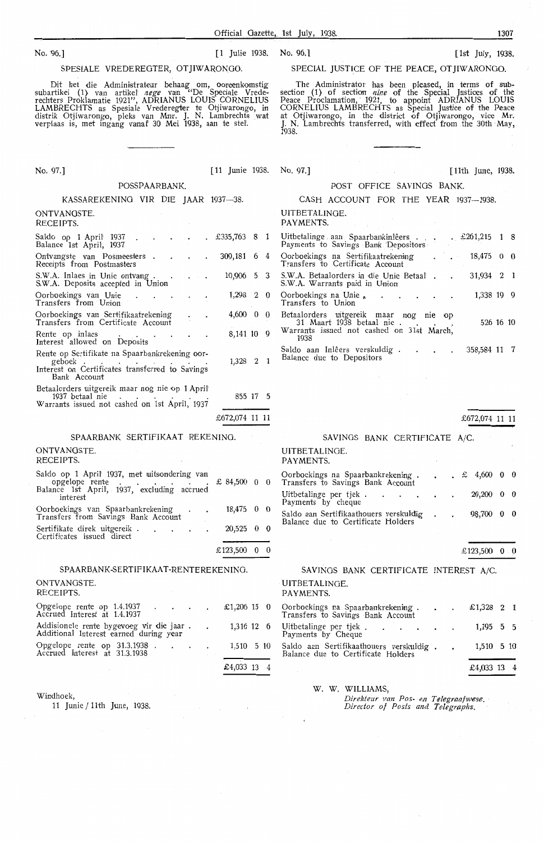#### SPESIALE VREDEREGTER, OTJIWARONOO.

Dit het die Administrateur behaag om, ooreenkomstig subartikel (1) van artikel *nege* van "De Speciale Vrederechters Proklamatie 1921", ADRIANUS LOUIS CORNELIUS LAMBRECHTS as Spesiale Vrederegter te Otjiwarongo, in distrik Otjiwarongo, pleks van Mnr. J. N. Lambrechts .wat verplaas is, met ingang vanaf 30 Mei 1938, aan te std.

No. 97.] [11 Junie 1938. No. 97.] [ 11th June, 1938.

#### POSSPAARBANK.

# KASSAREKENING VIR DIE **JAAR** 1937-38.

#### ONTVANGSTE. RECEIPTS.

| Saldo op 1 April 1937 .<br>Balance 1st April, 1937                                                                          | $. \; £335,763 \; 8 \; 1$ |  |
|-----------------------------------------------------------------------------------------------------------------------------|---------------------------|--|
| Ontvangste van Posmeesters .<br>Receipts from Postmasters                                                                   | 309,181 6 4               |  |
| S.W.A. Inlaes in Unie ontvang.<br>S.W.A. Deposits accepted in Union                                                         | 10,906 5 3                |  |
| Oorboekings van Unie<br>Transfers from Union                                                                                | $1,298$ 2 0               |  |
| Oorboekings van Sertifikaatrekening<br>Transfers from Certificate Account                                                   | $4,600 \quad 0.0$         |  |
| Rente op inlaes<br>Interest allowed on Deposits                                                                             | 8,141 10 9                |  |
| Rente op Sertifikate na Spaarbankrekening oor-<br>geboek<br>Interest on Certificates transferred to Savings<br>Bank Account | 1,328 2 1                 |  |
| Betaalorders uitgereik maar nog nie op 1 April<br>1937 betaal nie<br>Warrants issued not cashed on 1st April, 1937          | 855 17 5                  |  |
|                                                                                                                             | £672,074 11 11            |  |

#### SPAARBANK SERTIFIKAAT REKENING.

#### ONTVANGSTE. RECEIPTS. Saldo op 1 April' 1937, met uitsondering van<br>\_\_\_opgelope rente . . . . . . . . . . . £ 84,500 0 0 Balance 1st April, 1937, excluding accrued interest Oorboekings van Spaarbankrekening 18,475 0 0 Transfers from Savings Bank Account  $S$ ertifikate direk uitgereik  $\cdot$  .  $\cdot$  .  $\cdot$  20,525 0 0 Certificates issued direct £123,500 0 0

#### SPAARBANK-SERTIFIKAAT-RENTEREKENING.

#### ONTVANGSTE.

| RECEIPTS.                                                                                     |  |             |  |
|-----------------------------------------------------------------------------------------------|--|-------------|--|
| Opgelope rente op 1.4.1937 £1,206 15 0<br>Accrued Interest at 1.4.1937                        |  |             |  |
| Addisionele rente bygevoeg vir die jaar. 1,316 12 6<br>Additional Interest earned during year |  |             |  |
| Opgelope rente op 31.3.1938 1,510 5 10<br>Accrued Interest at 31.3.1938                       |  |             |  |
|                                                                                               |  | £4,033 13 4 |  |

Windhoek,

11 Junie/ 11th June, 1938.

## No. 96.] [1 Julie 1938. No. 96.] [1 Julie 1938. [1st July, 1938.

#### SPECIAL JUSTICE OF THE PEACE, OT JIWARONGO.

The Administrator has been pleased, in terms of sub-<br>section (1) of section *nine* of the Special Justices of the Peace Proclamation, 1921, to appoint ADRIANUS LOUIS CORNELIUS LAMBRECHTS as Special Justice of the Peace at Otjiwarongo, in the district of Otjiwarongo, vice Mr. J. N. Lambrechts transferred, with effect from the 30th May, J. N.<br>1938.

#### POST OFFICE SAVINGS BANK.

|  |  |  |  |  | CASH ACCOUNT FOR THE YEAR 1937-1938. |
|--|--|--|--|--|--------------------------------------|
|--|--|--|--|--|--------------------------------------|

UITBETALINGE. PAYMENTS.

| Uitbetalinge aan Spaarbankinlêers.<br>Payments to Savings Bank Depositors                                                | $\pm 261,215$ 1 8    |     |  |
|--------------------------------------------------------------------------------------------------------------------------|----------------------|-----|--|
| Oorboekings na Sertifikaatrekening<br>Transfers to Certificate Account                                                   | $\cdot$ $18,475$ 0 0 |     |  |
| S.W.A. Betaalorders in die Unie Betaal.<br>S.W.A. Warrants paid in Union                                                 | 31,934               | 2 1 |  |
| Oorboekings na Unie<br>Transfers to Union                                                                                | 1,338 19 9           |     |  |
| Betaalorders uitgereik maar nog nie op<br>31 Maart 1938 betaal nie.<br>Warrants issued not cashed on 31st March,<br>1938 | 526 16 10            |     |  |
| Saldo aan Inlêers verskuldig.<br>$\mathbf{r} = \mathbf{r}$<br>Balance due to Depositors                                  | 358,584 11 7         |     |  |

|                                                                                                    | £672,074 11 11 |          |              |
|----------------------------------------------------------------------------------------------------|----------------|----------|--------------|
| SAVINGS BANK CERTIFICATE A/C.                                                                      |                |          |              |
| UITBETALINGE.<br>PAYMENTS.                                                                         |                |          |              |
| Oorboekings na Spaarbankrekening.<br>Transfers to Savings Bank Account<br>$\therefore$ £ 4,600 0 0 |                |          |              |
| Uitbetalinge per tjek.<br>$\sim$ $\sim$ $\sim$ $\sim$ $\sim$<br>Payments by cheque                 | 20,200         | $\bf{0}$ | $\mathbf{0}$ |
| Saldo aan Sertifikaathouers verskuldig<br>Balance due to Certificate Holders                       | 98,700         | $\bf{0}$ |              |

£123,500 0 0

## SAVINGS BANK CERTIFICATE INTEREST A/C. UITBETALINOE.

PAYMENTS.

|             |  | £1,206 15 0 Oorboekings na Spaarbankrekening<br>Transfers to Savings Bank Account       |  | £1,328 2 1               |  |
|-------------|--|-----------------------------------------------------------------------------------------|--|--------------------------|--|
|             |  | 1,316 12 6 Uitbetalinge per tjek 1,195 5 5<br>Payments by Cheque                        |  |                          |  |
|             |  | 1,510 5 10 Saldo aan Sertifikaathouers verskuldig<br>Balance due to Certificate Holders |  | $1,510 \quad 5 \quad 10$ |  |
| £4,033 13 4 |  |                                                                                         |  | £4,033 13 4              |  |

W. W. WILLIAMS,

Direkteur van Pos- en T**elegraafwese.**<br>Director of Posts and **Telegraphs**.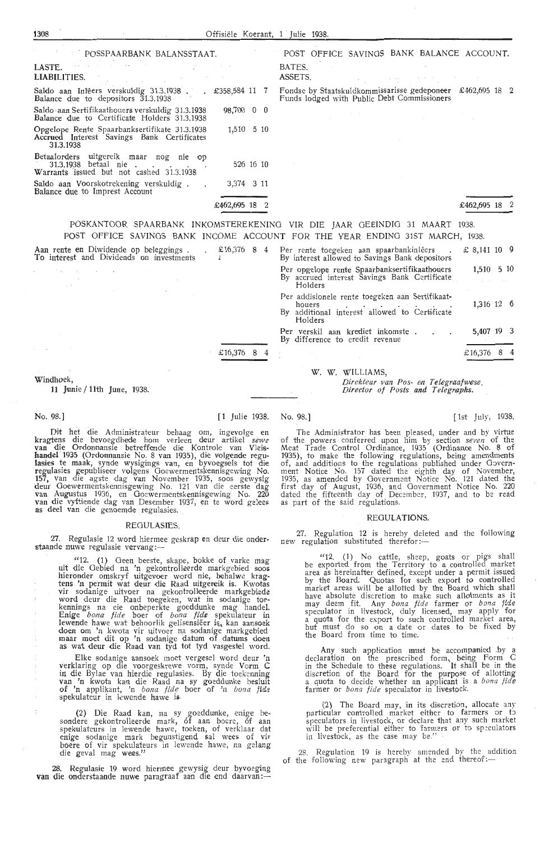| POSSPAARBANK BALANSSTAAT.                                                                                  |                                                                                                                                                                                     | POST OFFICE SAVINGS BANK BALANCE ACCOUNT.                                                                    |  |
|------------------------------------------------------------------------------------------------------------|-------------------------------------------------------------------------------------------------------------------------------------------------------------------------------------|--------------------------------------------------------------------------------------------------------------|--|
| LASTE.<br>LIABILITIES.                                                                                     |                                                                                                                                                                                     | BATES.<br>ASSETS.                                                                                            |  |
| Saldo aan Inlêers verskuldig 31.3.1938.<br><b>Balance due to depositors 31.3.1938</b>                      | $\text{\LARGE .}$ $\text{\LARGE .}$ $\text{\LARGE .}$ $\text{\LARGE .}$ $\text{\LARGE .}$ $\text{\LARGE .}$ $\text{\LARGE .}$ $\text{\LARGE .}$ $\text{\LARGE .}$ $\text{\LARGE .}$ | Fondse by Staatskuldkommissarisse gedeponeer<br>£462,695 18 2<br>Funds lodged with Public Debt Commissioners |  |
| Saldo aan Sertifikaathouers verskuldig 31.3.1938<br>Balance due to Certificate Holders 31.3.1938           | 98,700 0 0                                                                                                                                                                          |                                                                                                              |  |
| Opgelope Rente Spaarbanksertifikate 31.3.1938<br>Accrued Interest Savings Bank Certificates<br>31.3.1938   | $1,510 \quad 510$                                                                                                                                                                   |                                                                                                              |  |
| Betaalorders uitgereik maar nog nie op<br>31.3.1938 betaal nie<br>Warrants issued but not cashed 31.3.1938 | 526 16 10                                                                                                                                                                           |                                                                                                              |  |
| Saldo aan Voorskotrekening verskuldig.<br>Balance due to Imprest Account                                   | 3,374 3 11                                                                                                                                                                          |                                                                                                              |  |
|                                                                                                            | £462,695 18 2                                                                                                                                                                       | £462,695 18                                                                                                  |  |

POSKANTOOR SPAARBANK INKOMSTEREKENING VIR DIE JAAR GEEINDIG 31 MAART 1938. POST OFFICE SAVINGS BANK INCOME ACCOUNT FOR THE YEAR ENDING 31ST MARCH, 1938.

| Aan rente en Diwidende op beleggings.<br>To interest and Dividends on investments | £16,376 8 4 |  | Per rente toegeken aan spaarbankinlêers<br>By interest allowed to Savings Bank depositors                                                                                                                | £ 8,141 10 9 |  |
|-----------------------------------------------------------------------------------|-------------|--|----------------------------------------------------------------------------------------------------------------------------------------------------------------------------------------------------------|--------------|--|
| $\sim$<br>$\lambda$ .<br><br><br>A $\sim$                                         |             |  | Per opgelope rente Spaarbanksertifikaathouers<br>By accrued interest Savings Bank Certificate<br>Holders                                                                                                 | 1,510 5 10   |  |
|                                                                                   |             |  | Per addisionele rente toegeken aan Sertifikaat-<br>houers<br>the contract of the contract of the contract of the contract of the contract of<br>By additional interest allowed to Certificate<br>Holders | 1,316 12 6   |  |
|                                                                                   |             |  | Per verskil aan krediet inkomste.<br>By difference to credit revenue                                                                                                                                     | 5,407 19 3   |  |
| $\sim 10^{-11}$                                                                   | £16,376 8   |  |                                                                                                                                                                                                          | £16,376 8 4  |  |
| and the process of the state<br>Windhoek,<br>11 Junie / 11th June, 1938.          |             |  | W. W. WILLIAMS,<br>Direkteur van Pos- en Telegraafwese.<br>Director of Posts and Telegraphs.                                                                                                             |              |  |

**<sup>11</sup>**Junie/ 11th June, 1938.

Dit het die Administrateur behaag om, ingevolge en kragtens die bevoegdhede hom verleen deur artikel *sewe*<br>1991 van die Ordonnansie betreffende die Kontrole van Vleis**handel 1935 (Ordonnansie No.** 8 van 1935), die volgende regu-<br>**lasies te maak,** synde wysigings van, en byvoegsels tot die regulasies gepubliseer volgens Ooewermentskennisgewing No.<br>157, van die agste dag van November 1935, soos gewysig deur Goewermentskennisgewing No. 121 van die eerste dag<br>van Augustus 1936, en Goewermentskennisgewing No. 220<br>van die vyftiende dag van Desember 1937, en te word gelees<br>as deel van die genoemde regulasies.

#### REGULASIES.

27. Regulasie 12 word hiermee geskrap en deur die onderstaande nuwe regulasie vervang :-

"12. (1), Geen beeste, skape, bokke of varke mag uit die Gebied na 'n gekontrolleerde markgebied soos<br>hieronder omskryf uitgevoer word nie, behalwe kragtens 'n permit wat deur die Raad uitgereik is. Kwotas vir sodanige uitvoer na gekontrolleerde markgebiede word deur die Raad toegeken, wat *in* sodanige for• kennings na eie onbeperkte goeddunke mag handel. Enige *bona fide* boer of *bona fide* spekulateur in lewende hawe wat behoorlik gelisensiëer is, kan aansoek doen om 'n kwota vir uitvoer na sodanige markgebied<br>maar moet dit op 'n sodanige datum of datums doen<br>as wat deur die Raad van tyd tot tyd vasgestel word.

Elke sodanige aansoek moet vergesel word deur 'n verklaring op die voorgeskrewe vorm, synde Vorm **C**  i**n die** Bylae van hierdie regulasies. By die toekenning<br>van 'n kwota kan die Raad na sy goeddunke besluit **of 'n** applikant, 'n *bona fide* hoer of **'n** *bona /id?*  spekulateur in J.ewende hawe **is.** 

(2) Die Raad kan, na sy goeddunke, enige be-<br>sondere gekontrolleerde mark, 6f aan boere, 6f aan<br>spekulateurs in lewende hawe, toeken, of verklaar dat enige sodanige mark begunstigend sal wees of vir boere of vir spekulateurs in lewende hawe, na gelang die geval mag wees."

28. Regulasie 19 word hiermee gewysig deur byvoeging **van die onderstaande nuwe paragraaf aan die end daarvan:--**

No. 98.] [1st July, 1938. [1st July, 1938.] [1st July, 1938.]

The Administrator has been pleased, under and by virtue of the powers conferr-ed upon him by section *seven* of the Meat Trade Control Ordinance, 1935 (Ordinance No. 8 of 1935), to make the following regulations, being amendments of, and additions to the regulations published under Government Notice No. 157 dated the eighth day of November, 1935, as amended by Government Notice No. 121 dated the<br>first day of August, 1936, and Government Notice No. 220 dated the fifteenth day of December, 1937, and to be read<br>as part of the said regulations.

#### REGULATIONS.

27. Regulation 12 is hereby deleted and the following new regulation substituted therefor:-

"12. (1) No cattle, sheep, goats or pigs shall be exported from the Territory to a controlled market<br>area as hereinafter defined, except under a permit issued by the Board. Quotas for such export to controlled market areas will be allotted by the Board which shall have absolute discretion to make such allotments as it may deem fit. Any *bona fide* farmer or *bona fide*<br>speculator in livestock, duly licensed, may apply for<br>a quota for the export to such controlled market area, but must do so on a date or dates to be fixed by the Board from time to time.

Any such application must be accompanied .by a declaration on the prescribed form, being Form C<br>in the Schedule to these regulations. It shall be in the discretion of the Board for the purpose of allotting a quota to decide whether an applicant is a *bona fide* **farmer** or *bona fide* speculator in livestock.

(2) The Board may, in its discretion, allocate any particular controlled market either to farmers or to<br>speculators in livestock, or declare that any such market will be preferential either to farmers or to speculators in livestock, as the case may be.''

28. Regulation 19 is hereby amended by the addition of the following new paragraph at the end thereof:-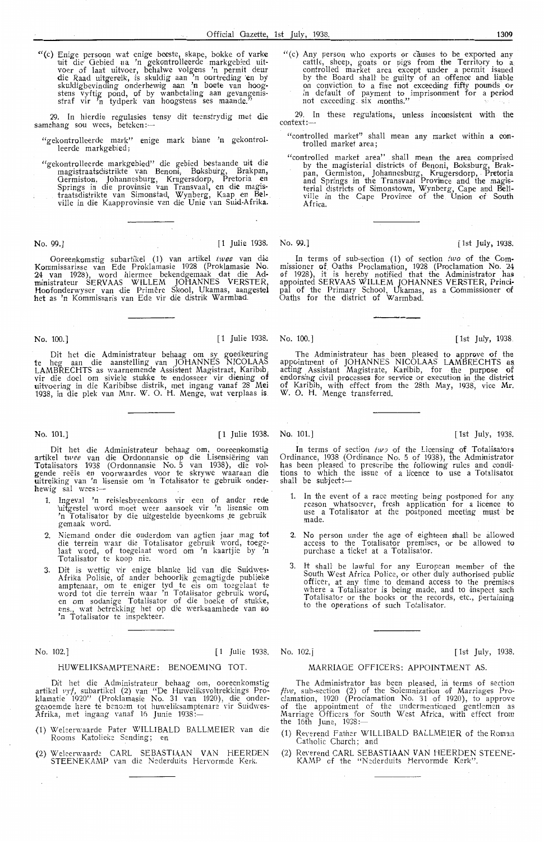"(c) Enige persoon wat enige beeste, skape, bokke of varke uit die Gebied ua 'n gekontrolleerde markgebied uit-<br>voer of laat uitvoer, behalwe volgens 'n permit deur die Raad uitgereik, is skuldig aan 'n oortreding en by skuldigbevinding onderhewig aan 'n boete van hoogstens vyftig pond, of by wambetaling aan gevangenisstraf vir 'n tydperk van hoogstens ses maande."

29. In hierdie regulasies tensy dit teenstrydig met die samehang sou wees, beteken:-

- "gekontrolleerde mark" enige mark binne 'n gekontrolleerde markgebied;
- "gekontrolkerde markgebied" die gebied bestaande uit die magistraatsdistrikte van Benoni, Boksbtirg, Brakpan, Germiston, Johannesburg, Krugersdorp, Pretoria en<br>Springs in die provinsie van Transvaal, en die magistraatsdistrikte van Simonstad, Wynberg, Kaap en Belville in die Kaapprovinsie van die Unie van Suid-Afrik**a.**

Ooreenkomstig subartikel (1) van artikel twee van die Kommissarisse van Ede Proklamasie 1928 (Proklamasie No. 24 van 1928), word hiermee bekendgemaak dat die Administrateur SERVAAS WILLEM JOHANNES VERSTER, Hoofonderwyser van die Primêre Skool, Ukamas, aangestel **bet** as 'n Kommissaris van Ede vir die distrik Warmbad.

No. 100.] [1 Julie 1938. No. 100.] [1 Julie 1938. [1st July, 1938.

Dit het die Administrateur behaag om sy goedkeuring te heg aan die aanstelling van JOHANNES NICOLAAS<br>LAMBRECHTS as waarnemende Assistent Magistraat, Karibib LAMBRECHTS as waarnemende Assistent Magistraat, Karib1b,<br>vir die -doel om siviele stukke te endosseer vir diening of uitvoering in die Karibibse distrik, met ingang vanaf 28 Mei 1938, in die plek van Mnr. W. 0. H. Menge, wat verplaas is

No. 101.] [1 Julie 1938. No. 101.] [ Tst July, 1938.

Dit het die Administrateur behaag om, ooreenkomstig artikel twee van die Ordonnansie op die Lisensiëring van Totalisators 1938 (Ordonnansie No. 5 van 1938), die vol·-<br>gende reëls en voorwaardes voor te skrywe waaraan die<br>uitreiking van 'n lisensie om 'n Totalisator te gebruik onderhewig sal wees:-

- 1. Ingeval 'n reisiesbyeenkoms vir een of ander rede 'uitgestel word moet weer aansoek vir 'n lisensie om<br>'n Totalisator by die uitgestelde byeenkoms te gebruik gemaak word.
- 2. Niemand onder die ouderdom van agtien jaar mag tot die terrein waar die Totalisator gebruik word, toege-<br>laat word, of toegelaat word om 'n kaartjie by 'n Totalisator te koop nie.
- 3. Dit is wettig vir enige blanke lid van die Suidwes• Afrika Polisie, of ander behoorlik gemagtigde publieke<br>amptenaar, om te eniger tyd te eis om toegelaat te<br>word tot die terrein waar 'n Totalisator gebruik word,<br>en om sodanige Totalisator of die boeke of stukke,<br>ens., wat

#### No. 102.] [1 Julie 1938. No. 102.] [1 Julie 1938. [1st July, 1938.

#### HUWELIKSAMPTENARE: BENOEM!NG TOT.

Dit het die Administrateur behaag om, ooreenkomstig artikel *vyf,* subartikel (2) van " De Huweliksvoltrekkings Proklamatie 1920'' (Proklamasie No. 31 van 1920), die onder-<br>genoemde here te benoem tot huweliksamptenare vir Suidwes-<br>Afrika, met ingang vanaf 16 Junie 1938 :--

- (1) Welserwaarde Pater WILLIBALD BALLMEIER van die Rooms Katolieke Sending; en
- (2) Weleerwaarde CARL SEBASTIAAN VAN HEERDEN STEENEKAMP van die Nederduits Hervormde Kerk.

"(c) Any person who exports or causes to be exported any cattle, sheep, goats or pigs from the Territory to a<br>controlled market area except under a permit issued by the Board shall be guilty of an offence and liable<br>on conviction to a fine not exceeding fifty pounds or<br>in default of payment to imprisonment for a period not exceeding . six months."

29. In these regulations, unless inconsistent with the context:-

- "controlled market" shall mean any market within a controlled market area;
- "controlled market area" shall mean the area comprised ntrolled market area shall mean the area comproduct<br>by the magisterial districts of Benoni, Boksburg, Brakpan, Germiston, Johannesburg, Krugersdorp, Pretoria and Springs in the Transvaal Province and the magisterial districts of Simonstown, Wy.nberg, Cape and **Bel'l**ville in the Cape Province of the Union of South Africa.

#### No. 99.] [1 Julie 1938. No. 99.] [1 Julie 1998. [1st July, 1938.

In terms of sub-section  $(1)$  of section two of the Commissioner of Oaths Proclamation, 1928 (Proclamation No. 24 of 1928), it is hereby notified that the Administrator has appointed SERVAAS WILLEM JOHANNES VERSTER, Prind· pal of the Primary School, Ukarmas, as a Commissioner of Oaths for the district of Warmbad.

The Administrateur has been pleased to approve of the appointment of JOHANNES NICOLAAS LAMBRECHTS as acting Assistant Magistrate, Ka11ibib, for the purpose of endorsing civil processes for service or execution in the district o**f** Karibib, with effect from the 28th May, 1938, vice **Mr.**<br>W. O. H. Menge transferred.

In terms of section two of the Licensing of Totalisators Ordinance, 1938 (Ordinance No. 5 of 1938), the Administrator has been pleased to prescribe the following rules and conditions to which the issue of a licence to use a Totalisator<br>shall be subject:—

- 1. In the event of a race meeting being postponed for any reason whatsoever, fresh application for a licence to use a Totalisator at the postponed meeting must be made.
- 2. No person under the age of eighteen shall be allowed access to the Totalisator premises, or be allowed to purchase a ticket at a Totalisator.
- 3. It shall be lawful for any European member of the South West Africa Police, or other duly authorised public officer, at any time to demand access to the premises where a Totalisator is being made, and to inspect such Totalisator or the books or the records, etc., pertaining to the operations of such Totalisator.

#### MARRIAGE OFFICERS: APPOINTMENT AS.

The Administrator has been pleased, in terms of section *five*, sub-section (2) of the Solemnization of Marriages Proclamation, 1920 (Proclamation No. 31 of 1920), to approve<br>of the appointment of the undermentioned gentlemen as<br>Marriage Officers for South West Africa, with effect from the 16th June, 1938 :-

- (1) Reverend Father W!LLIBALD BALLMEIER of the Roman Catholic Church; and
- (2) Reverend CARL SEBASTIAAN VAN HEERDEN STEENE-<br>KAMP of the "Nederduits Hervormde Kerk".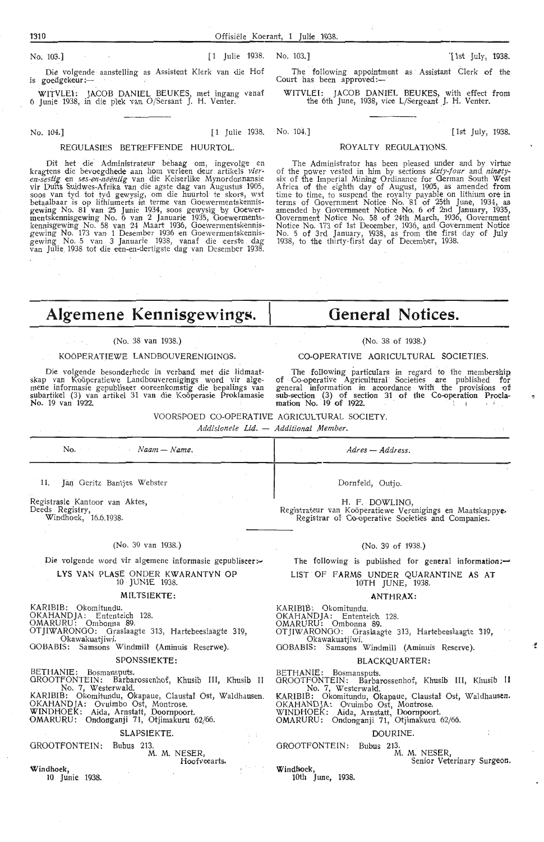Court has been approved:-

No. 103.] The Contract of Latitude 1938. No. 103.] The Contract of the Contract of Latitude 1938. No. 103.] The Contract of the Contract of the Contract of the Contract of The Contract of the Contract of the Contract of th

Die volgende aanstelling as Assistent Klerk van die Hof is goedgekeur ;-

WITVLEI: JACOB DANIEL BEUKES, met ingang vanaf 6 Junie 1938, in die plek van O/Sersant J. H. Venter.

No. 104.] [1 Julie 1938. No. 104.] [1 15 July, 1938.

#### REGULASIES BETREFFENDE HUURTOL.

. Dit het die' Administrateur behaag om, ingevolge en kragtens die bevoegdhede aan horn verl,een deur. artikels *vier*en-sestig en ses-en-neëntig van die Keiserlike Mynordonnansie vir Duits Suidwes-Afrika van die agste dag van Augustus 1905,<br>soos van tyd tot tyd gewysig, om die huurtol te skors, wat betaalbaar is op lithiumerts in terme van Goewermentskennisgewing No. 81 van 25 Junie 1934, soos gewysig by Ooewermentskennisgewing No. 6 van 2 Januarie 1935, Goewermentskenni'sgewing No. 58 van 24 Maart 1936, Goewermentskennisgewing No. 173 van 1 Desember 1936 en Goewermentskennisgewing No. 5 van 3 Januarie 1938, vanaf die eerste dag<br>van Julie 1938 tot die een-en-dertigste dag van Desember 1938.

Algemene Kennisgewings.

#### (No. 38 van 1938.)

#### KOÖPERATIEWE LANDBOUVERENIGINGS.

Die volgende besonderhede in verband met die lidmaatskap van Koöperatiewe Landbouverenigings word vir alge-<br>mene informasie gepubliseer ooreenkomstig die bepalings van<br>subartikel (3) van artikel 31 van die Koöperasie Proklamasie No. 19 van 1922.

# **General Notices.**

The following appointment as Assistant Clerk of the

WITVLEI: JACOB DANIEL BEUKES, with effect from the 6th June, 1938, vice L/Sergeant J. H. Venter.

ROYALTY REGULATIONS.

The Administrator has been pleased under and by virtue of the power vested in *him* by sections *sixty-four* and. *ninety*six of the Imperial Mining Ordinance for German South West Africa of the eighth day of August, 1905, as amended from<br>time to time, to suspend the royalty payable on lithium ore in

#### (No. 38 .of 1938.)

#### CO-OPERATIVE AGRICULTURAL SOCIETIES.

The following particulars in regard to the membership of Co-operative Agricultural Societies are published for general information in accordance with the provisions of sub-section (3) of section 31 of the Co-operation Proclamation No.  $19$  of 1922.

#### VOORSPOED CO-OPERATIVE AGRICULTURAL SOCIETY.

*Addisionele Lid.* - *Additional Member.* 

| $No.$ $Naam-Name.$             | Adres — Address. |
|--------------------------------|------------------|
| 11. Jan Geritz Bantjes Webster | Dornfeld, Outjo. |

Registrasie Kantoor van Aktes, Deeds Registry, Windhoek, 16.6.1938.

#### (No. 39 van 1938.)

## Die volgende word vir algemene informasie gepubliseer :-**L YS VAN PLASE** ONDER **KWARANTYN OP**

## 10 JUNIE 1938.

#### **MILTSIEKTE:**

KARIBIB: Okomitundu.

OKAHANDJA: Entenkich 128. OMARURU: Ombonna 89.

OTJIWARONGO: Graslaagte 313, Hartebeeslaagie 319,

Okawakuatjiwi.

OOBABIS: Samsons Windmilt (Aminuis Reserwe).

#### SPONSSIEKTE:

BETHANIE: Bosmansputs. OROOTFONTEIN: Barbarossenhof, Khusib III, Khusib II No. 7, Westerwald.

KARIBIB: Okomitundu, Okapaue, Claustal Ost, Waldhausen.<br>OKAHANDJA: Ovuimbo Ost, Montrose.<br>WINDHOEK: Aida, Arnstatt, Doornpoort.

OMARURU: Ondonganji 71, Otjimakuru 62/66;

#### SLAPSIEKTE

#### GROOTFONTEIN: Bubus 213

#### M. M. NESER Hoofveearts.

**Windhoek** 10 Junie 1938.

loth June, 1938.

H. F. DOWLING,<br>Registrateur van Koöperatiewe Verenigings en Maatskappye. Registrar of Co-operative Societies and Companies.

#### (No. 39 of 1938.)

The following is published for general information:-

LIST OF **FARMS** UNDER QUARANTINE **AS AT** 

#### 10TH JUNE, 1938. **ANTHRAX:**

KARIBIB: Okomitundu.

OKAHANDJA: Ententeich 128. OMARURU: Ombonna 89.

OTJIWARONGO: Graslaagte 313, Hartebeeslaagte 319',

Okawakuatjiwi.

OOBABIS: Samsons Windmill (Aminuis Reserve).

#### **BLACKQUARTER:**

BETHANIE: Bosmansputs.<br>GROOTFONTEIN: Barbarossenhof, Khusib III, Khusib II No. 7, Westerwald.

KARIBIB: Okomitundu, Okapaue, Clausta1 Ost, Waldhausen. OKAHANDJA: Ovuimbo Ost, Montrose.

WINDHOEK: Aida, Arnstatt, Doornpoort.<br>OMARURU: Ondonganji 71, Otjimakuru 62/66.

#### **DOURINE**

OROOTFONTEIN: Bubus 213.

M. M. NESER

Senior Veterinary Surgeon

 $\mathbf{r}$ 

**Windhoek,** 

terms of Government Notice No. 81 of 25th June, 1934, as amended by Government Notice No. 6 of 2nd January, 1935, Government Notice No. 58 of 24th March, 1936, Government<br>Notice No. 173 of 1st December, 1936, and Government Notice No. 5 of 3rd January, 1938, as from the first day of July 1938, to the thirty-first day of December, 1938.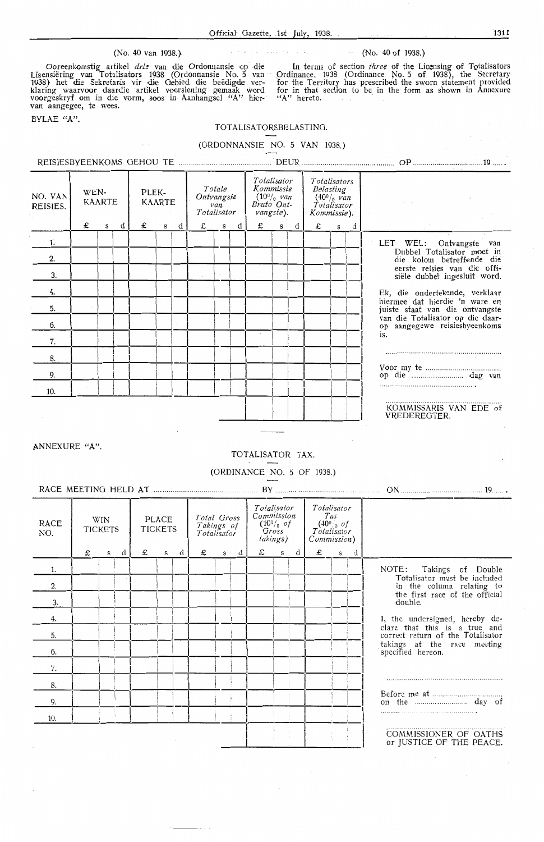#### (No. 40 van 1938.} (No. 40 of 1938.)

Ooreenkomstig artikel drie van die Ordonnansie op die Lisensiëring van Totalisators 1938 (Ordonnansie No. 5 van<br>1938) het die Sekretaris vir die Gebied die beëdigde ver-<br>klaring waarvoor daardie artikel voorsiening gemaak word voorgeskryf om in die vorm, soos in Aanhangsel "A" hier**van** aangegee, te wees.

 $\bar{\mathcal{L}}$ 

BYLAE **"A".** 

#### TOTALISATORSBELASTING.

## (ORDONNANSIE NO. 5 VAN 1938.)

| NO. VAN<br>REISIES. | WEN- | <b>KAARTE</b> |   | PLEK- | <b>KAARTE</b> |   | Ontvangste<br>Totalisator | Totale<br>van |   | Totalisator<br>Kommissie<br>$(10^0/0$ van<br>Bruto Ont-<br>vangste). |           |   |   |                           | Totalisators<br>Belasting<br>$(40^{\circ}/_{0}$ van<br>Totalisator<br>Kommissie). |                                                                   |  |  |
|---------------------|------|---------------|---|-------|---------------|---|---------------------------|---------------|---|----------------------------------------------------------------------|-----------|---|---|---------------------------|-----------------------------------------------------------------------------------|-------------------------------------------------------------------|--|--|
|                     | £    | s             | d | £     | s             | d | £                         | $\mathbf s$   | d | £                                                                    | ${\bf s}$ | đ | £ | $\boldsymbol{\mathsf{s}}$ | d                                                                                 |                                                                   |  |  |
| 1.                  |      |               |   |       |               |   |                           |               |   |                                                                      |           |   |   |                           |                                                                                   | LET WEL: Ontvangste van                                           |  |  |
| 2.                  |      |               |   |       |               |   |                           |               |   |                                                                      |           |   |   |                           |                                                                                   | Dubbel Totalisator moet in<br>die kolom betreffende die           |  |  |
| 3.                  |      |               |   |       |               |   |                           |               |   |                                                                      |           |   |   |                           |                                                                                   | eerste reisies van die offi-<br>siële dubbel ingesluit word.      |  |  |
| 4.                  |      |               |   |       |               |   |                           |               |   |                                                                      |           |   |   |                           |                                                                                   | Ek, die ondertekende, verklaar                                    |  |  |
| 5.                  |      |               |   |       |               |   |                           |               |   |                                                                      |           |   |   |                           |                                                                                   | hiermee dat hierdie 'n ware en<br>juiste staat van die ontvangste |  |  |
| 6.                  |      |               |   |       |               |   |                           |               |   |                                                                      |           |   |   |                           |                                                                                   | van die Totalisator op die daar-<br>op aangegewe reisiesbyeenkoms |  |  |
| 7.                  |      |               |   |       |               |   |                           |               |   |                                                                      |           |   |   |                           |                                                                                   | is.                                                               |  |  |
| 8.                  |      |               |   |       |               |   |                           |               |   |                                                                      |           |   |   |                           |                                                                                   |                                                                   |  |  |
| 9.                  |      |               |   |       |               |   |                           |               |   |                                                                      |           |   |   |                           |                                                                                   |                                                                   |  |  |
| 10.                 |      |               |   |       |               |   |                           |               |   |                                                                      |           |   |   |                           |                                                                                   |                                                                   |  |  |
|                     |      |               |   |       |               |   |                           |               |   |                                                                      |           |   |   |                           |                                                                                   | KOMMISSARIS VAN EDE of<br>VREDEREGTER.                            |  |  |
|                     |      |               |   |       |               |   |                           |               |   |                                                                      |           |   |   |                           |                                                                                   |                                                                   |  |  |

ANNEXURE "A".

#### TOTALISATOR TAX.

(ORDINANCE NO. 5 Of 1938.)

## RACE MEETING HELD AT ................................. .. . . ..... BY ...... . .... ....... ON .... ........ ..... ........... ........ 19

| <b>RACE</b><br>NO. | WIN<br><b>TICKETS</b><br>£<br>d<br>$\mathbf{s}$ |  | PLACE<br><b>TICKETS</b><br>d<br>£<br>S |  | Total Gross<br>Takings of<br>Totalisator<br>£<br>d<br>s |  | Totalisator<br>Commission<br>$\frac{(10^0)}{Gross}$<br>takings)<br>£<br>d<br>s |  | Totalisator<br>Tax<br>$(40°)$ of<br>Totalisator<br>Commission)<br>£<br>d<br>$\mathbf S$ |  |  |  |  |  |                                                                    |
|--------------------|-------------------------------------------------|--|----------------------------------------|--|---------------------------------------------------------|--|--------------------------------------------------------------------------------|--|-----------------------------------------------------------------------------------------|--|--|--|--|--|--------------------------------------------------------------------|
| 1.                 |                                                 |  |                                        |  |                                                         |  |                                                                                |  |                                                                                         |  |  |  |  |  | NOTE: Takings of Double                                            |
| 2.                 |                                                 |  |                                        |  |                                                         |  |                                                                                |  |                                                                                         |  |  |  |  |  | Totalisator must be included<br>in the column relating to          |
| 3.                 |                                                 |  |                                        |  |                                                         |  |                                                                                |  |                                                                                         |  |  |  |  |  | the first race of the official<br>double.                          |
|                    |                                                 |  |                                        |  |                                                         |  |                                                                                |  |                                                                                         |  |  |  |  |  |                                                                    |
| 4.                 |                                                 |  |                                        |  |                                                         |  |                                                                                |  |                                                                                         |  |  |  |  |  | I, the undersigned, hereby de-                                     |
| $\overline{5}$ .   |                                                 |  |                                        |  |                                                         |  |                                                                                |  |                                                                                         |  |  |  |  |  | clare that this is a true and<br>correct return of the Totalisator |
| 6.                 |                                                 |  |                                        |  |                                                         |  |                                                                                |  |                                                                                         |  |  |  |  |  | takings at the race meeting<br>specified hereon.                   |
| 7.                 |                                                 |  |                                        |  |                                                         |  |                                                                                |  |                                                                                         |  |  |  |  |  |                                                                    |
| 8.                 |                                                 |  |                                        |  |                                                         |  |                                                                                |  |                                                                                         |  |  |  |  |  |                                                                    |
| 9.                 |                                                 |  |                                        |  |                                                         |  |                                                                                |  |                                                                                         |  |  |  |  |  |                                                                    |
| 10.                |                                                 |  |                                        |  |                                                         |  |                                                                                |  |                                                                                         |  |  |  |  |  |                                                                    |
|                    |                                                 |  |                                        |  |                                                         |  |                                                                                |  |                                                                                         |  |  |  |  |  | COMMISSIONER OF OATHS<br>or JUSTICE OF THE PEACE.                  |

In terms of section *three* of the Licensing of Totalisators Ordinance. 1938 (Ordinance No. 5 of 1938}, the Secretary for the Territory has prescribed the sworn statement provided for in that section to be in the form as shown in Annexure ''A" hereto.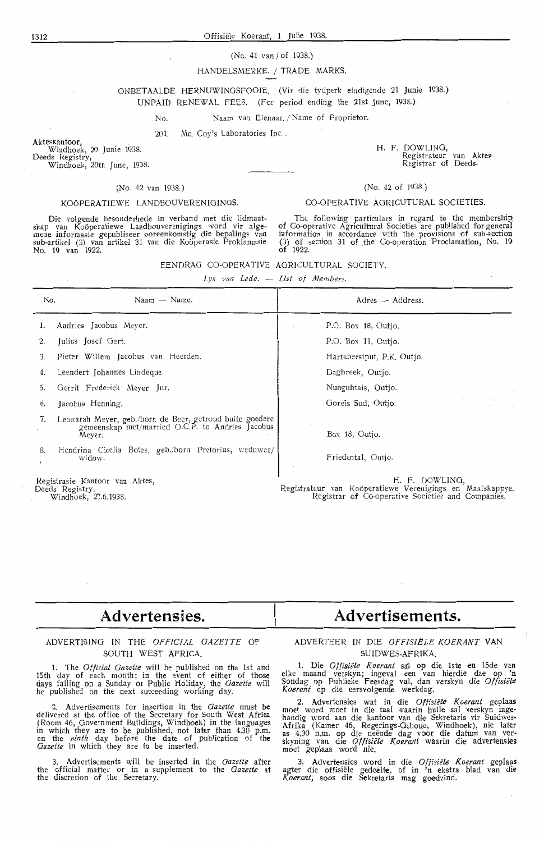#### (No. 41 Yan / of 1938.}

#### HANDELSMERKE. / TRADE MARKS.

#### ONBETAALDE HERNUWINGSFOOIE. (Vir die tydperk eindigende 21 Junie 1938.) UNPAID RENEWAL FEES. (For period ending the 21st June, 1938.)

Naam van Eienaar. / Name of Proprietor.

201. Mc. Coy's Laboratories Inc.

Akteskantoor, Windhoek, 20 Junie 1938. Deeds Registry,

Windhoek, 2oth June, 1938.

#### (No. 42 van 1938.)

 $N<sub>0</sub>$ 

#### KOOPERATIEWE LANDBOUVERENIGINOS.

Die volgende besonderhede in verband met die lidmaatskap van Koöperatiewe Landbouverenigings word vir alge-<br>mene informasie gepubliseer ooreenkomstig die bepalings van<br>sub-artikel (3) van artikel 31 van die Koöperasie Proklamasie No. 19 van 1922.

H. F. DOWLING, Bow Enver,<br>Registrateur van Aktes Registrature van A

#### (No. 42 of 1938.)

#### CO-OPERATIVE AGRICUTURAL SOCIETIES.

The following particulars in regard *to* the membership of Co-operative Agricultural Societies are published for general information in accordance with the provisions of sub-section (3) of section 31 of the Co-operation Proclamation, No. 19 of 1922.

| EENDRAG CO-OPERATIVE AGRICULTURAL SOCIETY. |  |  |  |  |
|--------------------------------------------|--|--|--|--|
|--------------------------------------------|--|--|--|--|

*Lys van Lede.* - *List of Members.* 

| No.      | $N$ aam $-$ Name.                                                                                                                                                                         | Adres - Address.                     |  |
|----------|-------------------------------------------------------------------------------------------------------------------------------------------------------------------------------------------|--------------------------------------|--|
| 1.       | Andries Jacobus Meyer.                                                                                                                                                                    | P.O. Box 18, Outjo.                  |  |
| 2.       | Julius Josef Gert.                                                                                                                                                                        | P.O. Box 11, Outjo.                  |  |
| 3.       | Pieter Willem Jacobus van Heerden.                                                                                                                                                        | Hartebeestput, P.K. Outjo.           |  |
| 4.       | Leendert Johannes Lindeque.                                                                                                                                                               | Dagbreek, Outjo.                     |  |
| Ć.       | Gerrit Frederick Meyer Jnr.                                                                                                                                                               | Nungubtais, Outjo.                   |  |
| 6.       | Jacobus Henning.                                                                                                                                                                          | Goreis Sud, Outjo.                   |  |
| 7.<br>8. | Leonarah Meyer, geb./born de Beer, getroud buite goedere<br>gemeenskap met/married O.C.P. to Andries Jacobus<br>Meyer.<br>Hendrina Cicelia Botes, geb./born Pretorius, weduwee/<br>widow. | Box 18, Outjo.<br>Friedental, Outjo. |  |
|          | Registrasie Kantoor van Aktes,                                                                                                                                                            | H. F. DOWLING,                       |  |

Deeds Registry, Windhoek, 27.6.1938.

Registrateur van Koöperatiewe Verenigings en Maatskappye. Registrar of Co-operative Societies and Companies.

# **Advertensies.**

#### ADVERTIS!NO IN THE *OFFICIAL GAZETTE* OF SOUTH WEST AFRICA

1. The *Otficial Gazette* will be published on the 1st and 15th day of each month; in the event of either of those days falling on a Sunday or Public Holiday, the *Gazette* will be published on the next succeeding working day.

2. Advertisements for insertion in the *Gazette* must be delivered at the office of the Secretary for South West **Africa**  (Room 46, Government Buildings, Windhoek) in the languages in which they are to be published, not later than 4.30 p.m. on the *ninth* day before the date of publication of the Gazette in which they are to be inserted

3. Advertisements will be inserted in the *Gazette* after the official matter or in a supplement to the *Gazette* at the discretion of the Secretary.

# **Advertisements.**

#### ADVERTEER IN DIE *OFFISIELE KOERANT* **VAN**  SUIDWES-AFRIKA.

**1.** Die *Oftisiele Koerant* sai op die lste en 15de van elke maand verskyn; ingeval een van hierdie dae op 'n Sondag op Publieke Feesdag val, dan verskyn die *Otfisie/2 Koerant* op die eersvolgende werkdag.

2. Advertensies wat in die *Offisiele Koerant* geplaas moet word moet in die taal waarin hulle sal verskyn ingehandig word aan die kantoor van die Sekretaris vir Suidwes-Afrika (Kamer 46, Regerings-Geboue, Windhoek), nie later as 4.30 n.m. op die neende dag voor die datum van v•er- skyning van die *Offisiele Koerant* waartn die advertensies moet geplaas word nie.

3. Advertensies word in die *Offisiele Koerant* geplaas agter die offisiële gedeelte, of in 'n ekstra blad van die *Kocrant,* soos die Sekretaris mag goedvind.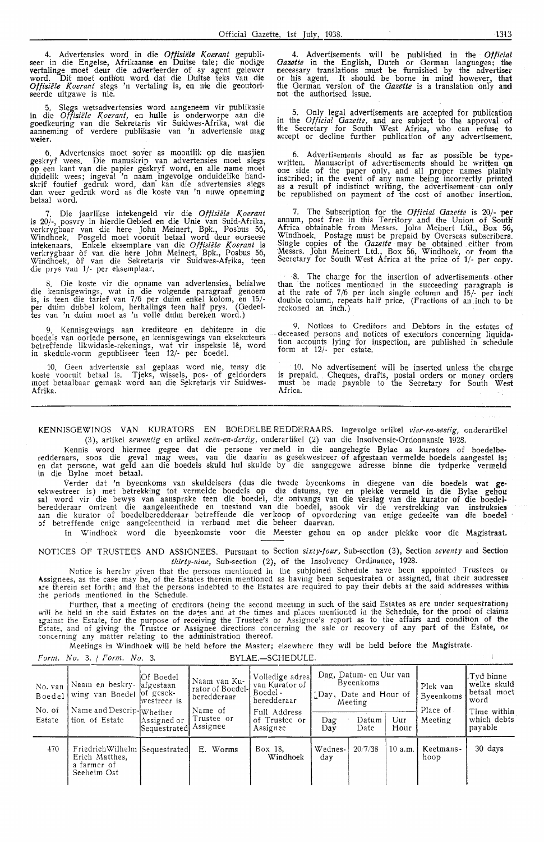4. Advertensies word in die *Offisiële Koerant* gepubli-<br>seer in die Engelse, Afrikaanse en Duitse tale; die nodige vertalinge moet deur die adverteerder of sy agent geiewer word. Dit moet onthou word dat die Duitse teks van die *Offisiele l(oerant* slegs 'n vertaling is, en nie die geoutoriseerde uitgawe is nie.

5. Slegs wetsadvertensies word aangeneem vir publikasie in die *Offisiele l(oerant,* en hulle is onderworpe aan die goedkeuring van die Sekretaris vir Suidwes-Afrika, wat die aanneming of verdere publikasie van 'n advertensie mag weier.

6. Advertensies moet saver as moontlik op die masjien geskryf wees. Die manuskrip van advertensies moet slegs op een kant van die papier geskryf word, en alle name moet duidelik wees; ingeval 'n naam ingevolge onduidelike handskrif foutief gedruk word, dan' kan die advertensies slegs dan weer gedruk word as die koste van 'n nuwe opneming betaal word.

7. Die jaarlikse intekengeld vir die *Offisiële Koerant* is 20/-, posvry in hierdie Gebied en die Unie van Suid-Afrika, verkrygbaar van die here John Meinert, Bpk., Posbus 56, Windhoek. Posgeld moet vooruit betaal word deur oorseese<br>intekenaars. Enkele eksemplare van die *Offisiële Koerant* is verkrygbaar of van die here John Meinert, Bpk., Posbus 56, Windhoek, of van die Sekretaris vir Suidwes-Afrika, teen die prys van 1/- per eksemplaar.

8. Die koste vir die opname van advertensies, behalwe die kennisgewings, wat in die volgende paragraaf genoem is, is teen die tarief van 7/6 per duim enkeI kolom, en 15/ per duim dubbel kolom, herhalings teen half prys. (Gedeel tes van 'n duim moet as 'n volle duim bereken word.)

9. Kennisgewings aan krediteure en debiteure in die boedels van oorlede persone, en kennisgewings van eksekuteurs<br>betreffende likwidasie-rekenings, wat vir inspeksie lê, word in skedule-vorm gepubliseer teen 12/- per boedel.

10. Geen advertensie sal geplaas word nie, tensy die koste vooruit betaal is. Tjeks, wissels, pos- of geldorders moet betaalbaar gemaak word aan die Sekretaris vir Suidwes-Afrika.

4. Advertisements will be published in the *Official Gazette* in the English, Dutch or German languages; the necessary translations must be furnished by the advertiser or his agent. It should be borne in mind however, that the German version of the *Gazette* is a translation only and not the authorised issue.

5. Only legal advertisements are accepted for publication in the *Official Gazettz,* and are subject *to* the approval of the Secretary for South West Africa, who can refuse to accept or decline further publication of any advertisement.

6. Advertisements should as far as possible be type-<br>written. Manuscript of advertisements should be written on one side of the paper only, and all proper names plainly inscribed; in the event of any name being incorrectly primted as a result of indistinct writing, the advertisement can only be republished on payment of the cost of another insertion.

7. The Subscription for the *Official Gazette* is 20/- **per**  annum, post free in this Territory and the Union of South Africa obtainable from Messrs. John Meinert Ltd., Box 56, Windhoek. Postage must be prepaid by Overseas subscribers.<br>Single copies of the *Gazette* may be obtained either from Messrs. John Meinert Ltd., Box 56, Windhoek, or from the Secretary for South West Africa at the price of 1/- per copy.

8. The charge for the insertion of advertisements other than the notices mentioned in the succeeding paragraph is at the rate of 7/6 per inch single column and 15/- per inch! double column, repeats half price. (Fractions of an inch to be reckoned an inch.)

9. Notices *to* Creditors and Debtors in the estates of deceased persons and notices of executors concerning liquidation accounts lying for inspection, are published in schedule form at  $12/-$  per estate.

10. No advertisement will be inserted unless the charge is prepaid. Cheques, drafts, postal orders or money orders must be made payable *to* the Secretary for South West Africa.

KENNISGEWINOS VAN KURATORS EN BOEDELBE REDDERAARS. Ingevolge artikel *vier-en-sestig,* onderartikel

(3), artikel sewentig en artikel neën-en-dertig, onderartikel (2) van die Insolvensie-Ordonnansie 1928. Kennis word hiermee gegee dat die persone ver meld in die aangehegte Bylae as kurators of boedelberedderaars, soos die geval mag wees, van die daarin as gesekwestreer of afgestaan vermelde boedels aangestel is; en dat persone, wat geld aan die boedels skuld hul skulde by die aangegewe adresse binne die tydperke vermeld in die Bylae moet betaal.

Verder dat 'n byeenkoms van skuldeisers ( dus die twede byeenkoms in diegene van die boedels wat ge· ;ekwestreer is) met betrekking tot vermelde boedels op die datums, tye en plekke vermeld in die Bylae gehou sal word vir die bewys van aansprake teen die boedel, die ontvangs van die verslag van die kurator of die boedelberedderaar omtrent die aangeleenthede en toestand van die boedel, asook vir die verstrekking van instruksies aan die kurator of boedelberedderaar betreffende die verkoop of opvordering van enige gedeelte van die boedel of betreffende enige aangeleentheid in verband met die beheer daarvan.

In Windhoek word die byeenkomste voor die Meester gehou en op ander plekke voor die Magistraat.

NOTICES OF TRUSTEES AND ASSIGNEES. Pursuant to Section *sixty-four,* Sub-section (3), Section *seventy* and Section *thirty-nine,* Sub-section (2), of the Insolvency Ordinance, 1928.

Notice is hereby given that the persons mentioned in the subjoined Schedule have been appointed Trustees or Assignees, as the case may be, of the Estates therein mentioned as having been sequestrated or assigned, that their audresses  $\bm{u}$ re therein set forth; and that the persons indebted to the Estates are required to pay their debts at the said addresses within rhe periods mentioned in the Schedule.

Further, that a meeting of creditors (being the second meeting in such of the said Estates as are under sequestration) will be held in the said Estates on the da•es and at the times and places mentioned in the Schedule, for the proof of claims ig\_,:inst the Estate, for the purpose of receiving the Trustee's or Assignee's report as to the affairs and condition of **the**  Estate, and of giving the Trustee or Assignee directions concerning the sale or recovery of any part of the Estate, or concerning any matter relating to the administration thereof.

Meetings in Windhoek will be held before the Master; elsewhere they will be held before the Magistrate.

Form. No. 3. / Form. No. 3. BYLAE.-SCHEDULE.

| No. van<br>Boedel<br>No. of<br>Estate | Naam en beskry- afgestaan<br>wing van Boedel of gesek-<br>Name and Descrip-Whether<br>tion of Estate | Of Boedel<br>lwestreer is<br>Assigned or<br>Sequestratedl | Naam van Ku-<br>rator of Boedel-<br>beredderaar<br>Name of<br>Trustee or<br>Assignee | Volledige adres<br>van Kurator of<br>Boedel -<br>beredderaar<br>Full Address<br>of Trustee or<br>Assignee | Dag<br>Dav     | Dag, Datum- en Uur van<br>Byeenkoms<br>Day, Date and Hour of<br>Meeting<br>Datum<br>Date | Uur<br>Hour | Plek van<br>Byeenkoms<br>Place of<br>Meeting | Tyd binne.<br>welke skuld<br>betaal moet<br>word<br>Time within<br>which debts<br>'payable |
|---------------------------------------|------------------------------------------------------------------------------------------------------|-----------------------------------------------------------|--------------------------------------------------------------------------------------|-----------------------------------------------------------------------------------------------------------|----------------|------------------------------------------------------------------------------------------|-------------|----------------------------------------------|--------------------------------------------------------------------------------------------|
| 470                                   | Friedrich Wilhelm Sequestrated<br>Erich Matthes,<br>a farmer of<br>Seeheim Ost                       |                                                           | E. Worms                                                                             | Box 18.<br>Windhoek                                                                                       | Wednes-<br>day | 20/7/38                                                                                  | 10 a.m.     | Keetmans-<br>hoop                            | 30 days                                                                                    |

 $\mathbf{r}=\mathbf{r}$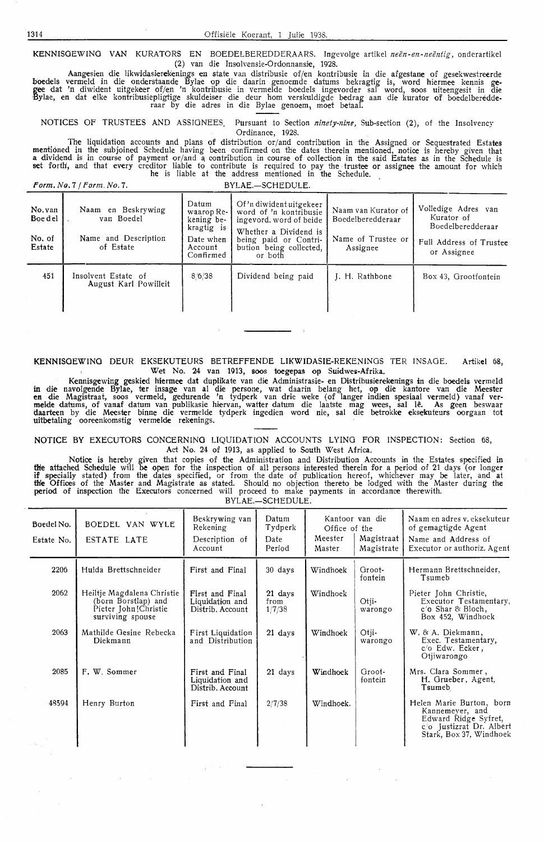KENNISOEWINO VAN KURATORS EN BOEDELBEREDDERAARS. Ingevolge artikel *neen-en-neentig,* onderartikel (2) van die Insolvensie-Ordonnansie, 1928.

Aangesien die likwidasierekenings en state van distribusie of/en kontribusie in die afgestane of gesekwestreerde hoedels vermeld in die onderstaande Bylae op die daarin genoemde datums bekragtig is, word hiermee kennis gegee dat 'n diwident uitgekeer of/en 'n kontribusie in vermelde boedels ingevorder sal word, soos uiteengesit in die Bylae, en dat elke kontribusiepligtige skuldeiser die deur hom verskuldigde bedrag aan die kurator of boedelberedde-<br>raar by die adres in die Bylae genoem, moet betaal.

NOTICES OF TRUSTEES AND ASSIGNEES. Pursuant to Section *ninety-nine*, Sub-section (2), of the Insolvency Ordinance, 1928.

The liquidation accounts and plans of distribution or/and contribution in the Assigned or Sequestrated Estates mentioned in the subjoined Schedule having been confirmed on the dates therein mentioned, notice is hereby given that<br>a dividend is in course of payment or/and a contribution in course of collection in the said Estates as set forth, and that every creditor liable to contribute is required to pay the trustee or assignee the amount for which he is liable at the address mentioned in the Schedule.

*Form. No.* 7 */Form.No.* 7. BYLAE.-SCHEDULE.

| No. van<br>Boe del<br>No. of<br>Estate | Naam en Beskrywing<br>van Boedel<br>Name and Description<br>of Estate | Datum<br>waarop Re-<br>kening be-<br>kragtig is<br>Date when<br>Account<br>Confirmed | Of 'n diwident uitgekeer<br>word of 'n kontribusie<br>ingevord, word of beide<br>Whether a Dividend is<br>being paid or Contri-<br>bution being collected,<br>or both | Naam van Kurator of<br>Boedelberedderaar<br>Name of Trustee or<br>Assignee | Volledige Adres van<br>Kurator of<br>Boedelberedderaar<br>Full Address of Trustee<br>or Assignee |
|----------------------------------------|-----------------------------------------------------------------------|--------------------------------------------------------------------------------------|-----------------------------------------------------------------------------------------------------------------------------------------------------------------------|----------------------------------------------------------------------------|--------------------------------------------------------------------------------------------------|
| 451                                    | Insolvent Estate of<br>August Karl Powilleit                          | 8/6/38                                                                               | Dividend being paid                                                                                                                                                   | J. H. Rathbone                                                             | Box 43, Grootfontein                                                                             |

**KENNISOEWINO** DEUR EKSEKUTEURS BETREFFENDE LIKWIDASIE-REKENINGS TER JNSAGE. Artikel 68, Wet No. 24 van 1913, soos toegepas op Suidwes-Afrika.

Kennisgewing geskied hiermee dat duplikate van die Administrasie- en Distribusierekenings in die boedels vermeld **in** die navolgende Bylae, ter insage van al die persone, wat daarin belang het, op die kantore van die Meester<br>en die Magistraat, soos vermeld, gedurende 'n tydperk van drie weke (of langer indien spesiaal vermeld) vanaf daarteen by die Meester binne die vermelde tydperk ingedien word nie, sal die betrokke eksekuteurs oorgaan tot uitbetaling ooreenkomstig vermelde rekenings.

**NOTICE BY** EXECUTORS CONCERNING LIQUIDATION ACCOUNTS LYING FOR INSPECTION: Section 68, Act No. 24 of 1913, as applied to South West Africa.

Notice is hereby given that copies of the Administration and Distribution Accounts in the Estates specified in **fire** attached Schedule will be open for the inspection of all persons interested therein for a period of 21 days (or longer if specially stated) from the dates specified, or from the date of publication hereof, whichever may be later, and at **th'e** Offices of the Master and Magistrate as stated. Should no objection thereto be lodged with the Master during the **period** of inspection the Executors concerned will proceed to make payments in accordance therewith. BYLAE.-SCHEDULE.

Boede!No. Estate No. 2206 2062 2063 2085 48594 BO EDEL VAN WYLE ESTATE LATE Hulda Brettschneider Heiltje Magdalena Christie (born Borstlap) and Pieter John !Christie surviving spouse Mathilde Oesine Rebecka Diekmann F. W. Sommer Henry Burton Beskrywing van Rekening Description of Account First and Final First and Final Liquidation and Distrib. Account First Liquidation and Distribution First and Final Liquidation and Distrib. Account First and Final Datum Tydperk Date Period 30 days 21 days from 1/7/38 **21** days 21 days 2/7/38 Kantoor van die Office of the Meester | Magistraat<br>Master | Magistrate Magistrate Windhoek Windhoek Windhoek **Windhoek**  Windhoek. Orootfontein Otjiwarongo Otiiwarongo Grootfontein Naam en adres v. eksekuteur of gemagtigde Agent Name and Address of Executor or authoriz. Agent Hermann Brettschneider, Tsumeb Pieter John Christie, Executor Testamentary, c/o Shar & Bloch, Box 452, Windhoek W. & A. Diekmann, Exec. Testamentary, *c,1o* Edw. Ecker, Otjiwarongo Mrs. Clara Sommer , H. Grueber, Agent, Tsumeb Helen Marie Burton, born Kannemeyer, and Edward Ridge Syfret, c/o Justizrat Dr. Albert Stark, Box 37, Windhoek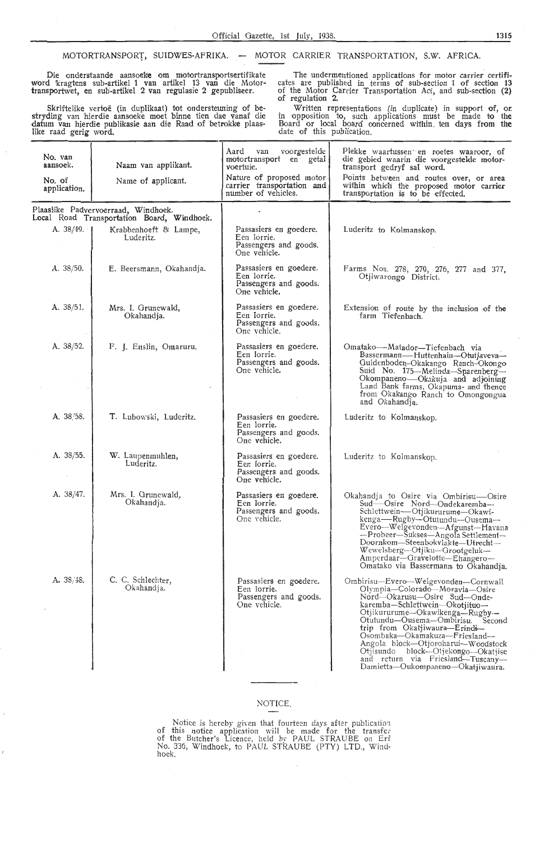#### MOTORTRANSPORT, SUIDWES-AFRIKA. - MOTOR CARRIER TRANSPORTATION, S.W. AFRICA.

Die onderstaande aansoeke om motortransportsertifikate word lkragtens sub-artikel 1 van artikel 13 van die Motortransportwet, en sub-artikel 2 van regulasie 2 gepubliseer.

Skriftelike vertoe (in duplikaat) tot ondersteuning of bestryding van hierdie aanooeke moet binne tien dae vanaf die datum van hierdie publikasie aan die Raad of 'betrokke plaaslike raad gerig word.

The undermentioned applications for motor carrier certificates are published in terms of sub-section 1 of section 13 of the Motor Carrier Transportation Act, and sub-section **(2)**  of regulation 2.

Written representations (in duplicate) in support of, **or.**  in opposition to, such applications must be made to the Board or local board ooncerned within. ten days from the date of this publication.

| No. van<br>aansoek.<br>No. of<br>application. | Naam van applikant.<br>Name of applicant.                                         | voorgestelde<br>Aard van<br>motortransport en getal<br>voertuie.<br>Nature of proposed motor<br>carrier transportation and<br>number of vehicles. | Plekke waartussen en roetes waaroor, of<br>die gebied waarin die voorgestelde motor-<br>transport gedryf sal word.<br>Points between and routes over, or area<br>within which the proposed motor carrier<br>transportation is to be effected.                                                                                                                                                                                          |
|-----------------------------------------------|-----------------------------------------------------------------------------------|---------------------------------------------------------------------------------------------------------------------------------------------------|----------------------------------------------------------------------------------------------------------------------------------------------------------------------------------------------------------------------------------------------------------------------------------------------------------------------------------------------------------------------------------------------------------------------------------------|
|                                               | Plaaslike Padvervoerraad, Windhoek.<br>Local Road Transportation Board, Windhoek. |                                                                                                                                                   |                                                                                                                                                                                                                                                                                                                                                                                                                                        |
| A. 38/49.                                     | Krabbenhoeft & Lampe,<br>Luderitz.                                                | Passasiers en goedere.<br>Eeu lorrie.<br>Passengers and goods.<br>One vehicle.                                                                    | Luderitz to Kolmanskop.                                                                                                                                                                                                                                                                                                                                                                                                                |
| A. $38/50$ .                                  | E. Beersmann, Okahandja.                                                          | Passasiers en goedere.<br>Een lorrie.<br>Passengers and goods.<br>One vehicle.                                                                    | Farms Nos. 278, 279, 276, 277 and 377,<br>Otjiwarongo District.                                                                                                                                                                                                                                                                                                                                                                        |
| A. 38/51.                                     | Mrs. I. Grunewald,<br>Okahandja.                                                  | Passasiers en goedere.<br>Een lorrie.<br>Passengers and goods.<br>One vehicle.                                                                    | Extension of route by the inclusion of the<br>farm Tiefenbach.                                                                                                                                                                                                                                                                                                                                                                         |
| A. 38/52.                                     | F. J. Enslin, Omaruru.                                                            | Passasiers en goedere.<br>Een lorrie.<br>Passengers and goods.<br>One vehicle.                                                                    | Omatako---Matador-Tiefenbach via<br>Bassermann—Huttenhain—Otutjaveva—<br>Guldenboden-Okakango Ranch-Okongo<br>Suid No. 175-Melinda-Sparenberg-<br>Okompaneno-Okakuja and adjoining<br>Land Bank farms, Okapuma- and thence<br>from Okakango Ranch to Omongongua<br>and Okahandja.                                                                                                                                                      |
| A. 38/58.                                     | T. Lubowski, Luderitz.                                                            | Passasiers en goedere.<br>Een lorrie.<br>Passengers and goods.<br>One vehicle.                                                                    | Luderitz to Kolmanskop.                                                                                                                                                                                                                                                                                                                                                                                                                |
| A. 38/55.                                     | W. Laupenmuhlen,<br>Luderitz.                                                     | Passasiers en goedere.<br>Een lorrie.<br>Passengers and goods.<br>One vehicle.                                                                    | Luderitz to Kolmanskop.                                                                                                                                                                                                                                                                                                                                                                                                                |
| A. 38/47.                                     | Mrs. I. Grunewald,<br>Okahandja.                                                  | Passasiers en goedere.<br>Een lorrie.<br>Passengers and goods.<br>One vehicle.                                                                    | Okahandja to Osire via Ombirisu-Osire<br>Sud-Osire Nord-Ondekaremba-<br>Schlettwein-Otjikururume-Okawi-<br>kenga-Rugby-Otutundu-Ousema-<br>Evero-Welgevonden-Afgunst-Havana<br>-Probeer-Sukses-Angola Settlement-<br>Doornkom-Steenbokvlakte-Utrecht-<br>Wewelsberg-Otjiku-Grootgeluk-<br>Amperdaar-Gravelotte-Ehangero-<br>Omatako via Bassermann to Okahandja.                                                                       |
| A. 38/48.                                     | C. C. Schlechter,<br>Okahandia.                                                   | Passasiers en goedere.<br>Een lorrie.<br>Passengers and goods.<br>One vehicle.                                                                    | Ombirisu-Evero-Welgevonden-Cornwall<br>Olympia-Colorado-Moravia-Osire<br>Nord-Okarusu-Osire Sud-Onde-<br>karemba-Schlettwein-Okotjituo-<br>Otjikururume-Okawikenga-Rugby-<br>Otutundu--Ousema-Ombirisu. Second<br>trip from Okatjiwaura-Erindi-<br>Osombaka-Okamakuza-Friesland-<br>Angola block-Otjoroharui-Woodstock<br>Otjisundo block-Otjekongo-Okatjise<br>and return via Friesland-Tuscany-<br>Damietta-Oukompaneno-Okatjiwaura. |

## NOTICE.

Notice is hereby given that fourteen days after publication of this notice application will be made for the transfer of the Butcher's Licence, held by PAUL STRAUBE on Erf No. 336, Windhoek, to PAUL STRAUBE (PTY) LTD., Windhoek.